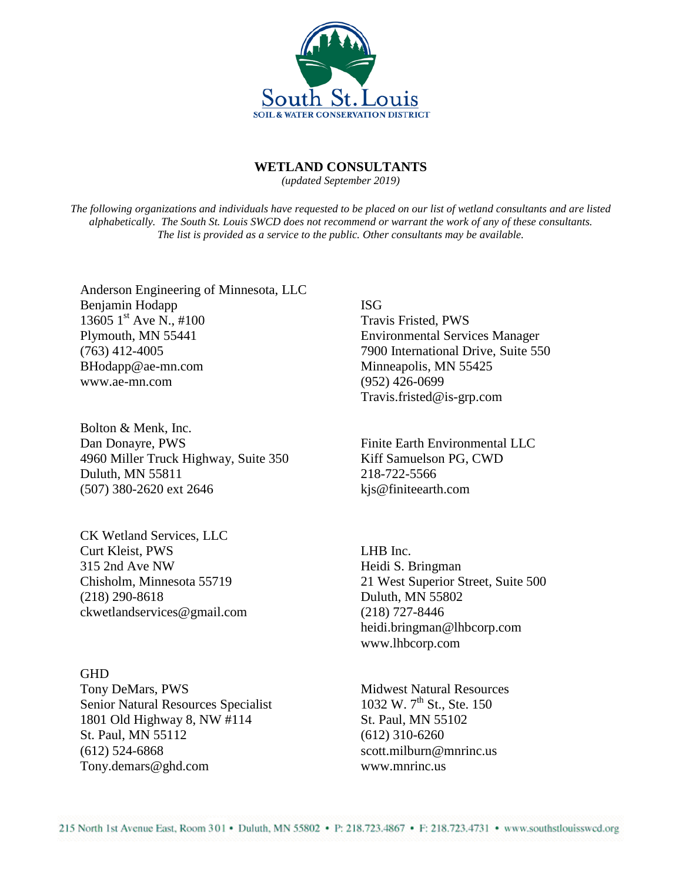

## **WETLAND CONSULTANTS**

*(updated September 2019)*

*The following organizations and individuals have requested to be placed on our list of wetland consultants and are listed alphabetically. The South St. Louis SWCD does not recommend or warrant the work of any of these consultants. The list is provided as a service to the public. Other consultants may be available.*

Anderson Engineering of Minnesota, LLC Benjamin Hodapp 13605  $1^{\text{st}}$  Ave N., #100 Plymouth, MN 55441 (763) 412-4005 BHodapp@ae-mn.com www.ae-mn.com

Bolton & Menk, Inc. Dan Donayre, PWS 4960 Miller Truck Highway, Suite 350 Duluth, MN 55811 (507) 380-2620 ext 2646

CK Wetland Services, LLC Curt Kleist, PWS 315 2nd Ave NW Chisholm, Minnesota 55719 (218) 290-8618 ckwetlandservices@gmail.com

**GHD** Tony DeMars, PWS Senior Natural Resources Specialist 1801 Old Highway 8, NW #114 St. Paul, MN 55112 (612) 524-6868 Tony.demars@ghd.com

ISG

Travis Fristed, PWS Environmental Services Manager 7900 International Drive, Suite 550 Minneapolis, MN 55425 (952) 426-0699 Travis.fristed@is-grp.com

Finite Earth Environmental LLC Kiff Samuelson PG, CWD 218-722-5566 kjs@finiteearth.com

LHB Inc. Heidi S. Bringman 21 West Superior Street, Suite 500 Duluth, MN 55802 (218) 727-8446 heidi.bringman@lhbcorp.com www.lhbcorp.com

Midwest Natural Resources  $1032 \text{ W. } 7^{\text{th}}$  St., Ste. 150 St. Paul, MN 55102 (612) 310-6260 scott.milburn@mnrinc.us www.mnrinc.us